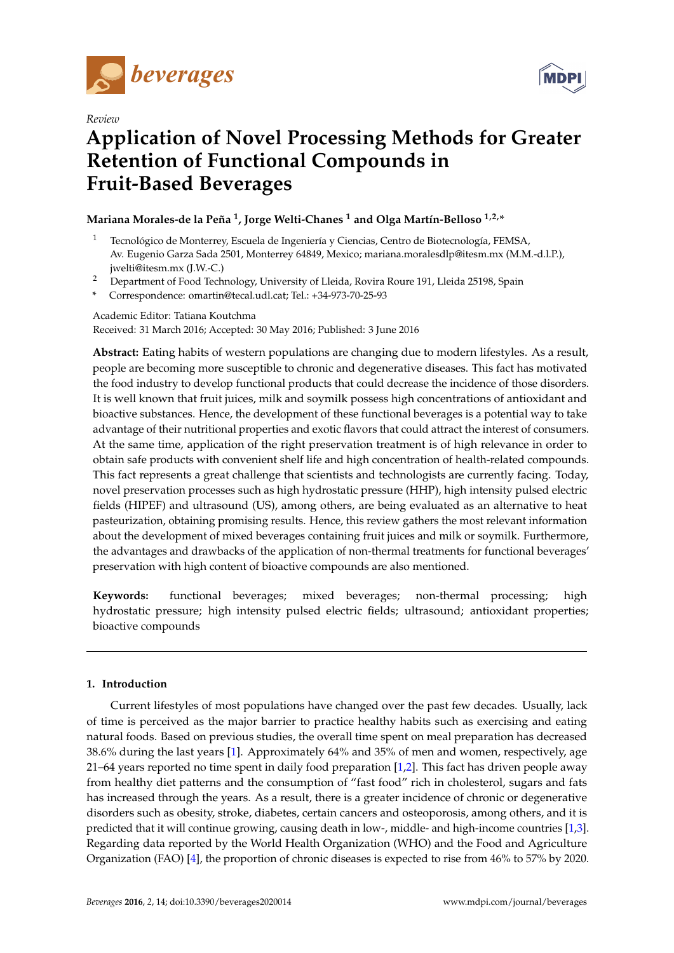

*Review*



# **Application of Novel Processing Methods for Greater Retention of Functional Compounds in Fruit-Based Beverages**

## **Mariana Morales-de la Peña <sup>1</sup> , Jorge Welti-Chanes <sup>1</sup> and Olga Martín-Belloso 1,2,\***

- <sup>1</sup> Tecnológico de Monterrey, Escuela de Ingeniería y Ciencias, Centro de Biotecnología, FEMSA, Av. Eugenio Garza Sada 2501, Monterrey 64849, Mexico; mariana.moralesdlp@itesm.mx (M.M.-d.l.P.), jwelti@itesm.mx (J.W.-C.)
- <sup>2</sup> Department of Food Technology, University of Lleida, Rovira Roure 191, Lleida 25198, Spain
- **\*** Correspondence: omartin@tecal.udl.cat; Tel.: +34-973-70-25-93

Academic Editor: Tatiana Koutchma Received: 31 March 2016; Accepted: 30 May 2016; Published: 3 June 2016

**Abstract:** Eating habits of western populations are changing due to modern lifestyles. As a result, people are becoming more susceptible to chronic and degenerative diseases. This fact has motivated the food industry to develop functional products that could decrease the incidence of those disorders. It is well known that fruit juices, milk and soymilk possess high concentrations of antioxidant and bioactive substances. Hence, the development of these functional beverages is a potential way to take advantage of their nutritional properties and exotic flavors that could attract the interest of consumers. At the same time, application of the right preservation treatment is of high relevance in order to obtain safe products with convenient shelf life and high concentration of health-related compounds. This fact represents a great challenge that scientists and technologists are currently facing. Today, novel preservation processes such as high hydrostatic pressure (HHP), high intensity pulsed electric fields (HIPEF) and ultrasound (US), among others, are being evaluated as an alternative to heat pasteurization, obtaining promising results. Hence, this review gathers the most relevant information about the development of mixed beverages containing fruit juices and milk or soymilk. Furthermore, the advantages and drawbacks of the application of non-thermal treatments for functional beverages' preservation with high content of bioactive compounds are also mentioned.

**Keywords:** functional beverages; mixed beverages; non-thermal processing; high hydrostatic pressure; high intensity pulsed electric fields; ultrasound; antioxidant properties; bioactive compounds

## **1. Introduction**

Current lifestyles of most populations have changed over the past few decades. Usually, lack of time is perceived as the major barrier to practice healthy habits such as exercising and eating natural foods. Based on previous studies, the overall time spent on meal preparation has decreased 38.6% during the last years [\[1\]](#page-7-0). Approximately 64% and 35% of men and women, respectively, age 21–64 years reported no time spent in daily food preparation [\[1](#page-7-0)[,2\]](#page-7-1). This fact has driven people away from healthy diet patterns and the consumption of "fast food" rich in cholesterol, sugars and fats has increased through the years. As a result, there is a greater incidence of chronic or degenerative disorders such as obesity, stroke, diabetes, certain cancers and osteoporosis, among others, and it is predicted that it will continue growing, causing death in low-, middle- and high-income countries [\[1](#page-7-0)[,3\]](#page-7-2). Regarding data reported by the World Health Organization (WHO) and the Food and Agriculture Organization (FAO) [\[4\]](#page-7-3), the proportion of chronic diseases is expected to rise from 46% to 57% by 2020.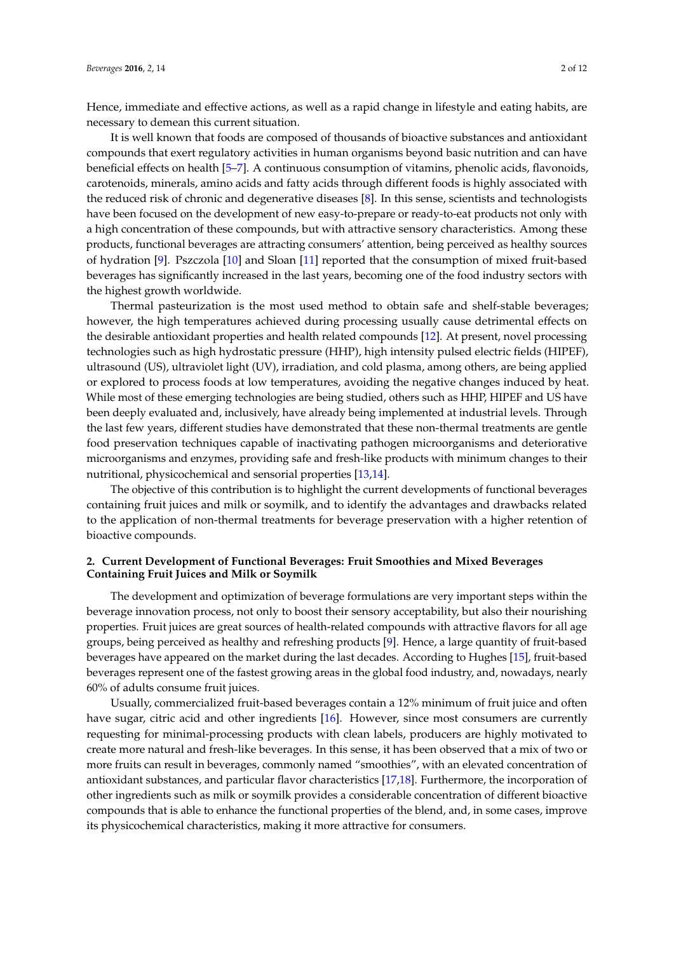Hence, immediate and effective actions, as well as a rapid change in lifestyle and eating habits, are necessary to demean this current situation.

It is well known that foods are composed of thousands of bioactive substances and antioxidant compounds that exert regulatory activities in human organisms beyond basic nutrition and can have beneficial effects on health [\[5](#page-7-4)[–7\]](#page-7-5). A continuous consumption of vitamins, phenolic acids, flavonoids, carotenoids, minerals, amino acids and fatty acids through different foods is highly associated with the reduced risk of chronic and degenerative diseases [\[8\]](#page-8-0). In this sense, scientists and technologists have been focused on the development of new easy-to-prepare or ready-to-eat products not only with a high concentration of these compounds, but with attractive sensory characteristics. Among these products, functional beverages are attracting consumers' attention, being perceived as healthy sources of hydration [\[9\]](#page-8-1). Pszczola [\[10\]](#page-8-2) and Sloan [\[11\]](#page-8-3) reported that the consumption of mixed fruit-based beverages has significantly increased in the last years, becoming one of the food industry sectors with the highest growth worldwide.

Thermal pasteurization is the most used method to obtain safe and shelf-stable beverages; however, the high temperatures achieved during processing usually cause detrimental effects on the desirable antioxidant properties and health related compounds [\[12\]](#page-8-4). At present, novel processing technologies such as high hydrostatic pressure (HHP), high intensity pulsed electric fields (HIPEF), ultrasound (US), ultraviolet light (UV), irradiation, and cold plasma, among others, are being applied or explored to process foods at low temperatures, avoiding the negative changes induced by heat. While most of these emerging technologies are being studied, others such as HHP, HIPEF and US have been deeply evaluated and, inclusively, have already being implemented at industrial levels. Through the last few years, different studies have demonstrated that these non-thermal treatments are gentle food preservation techniques capable of inactivating pathogen microorganisms and deteriorative microorganisms and enzymes, providing safe and fresh-like products with minimum changes to their nutritional, physicochemical and sensorial properties [\[13](#page-8-5)[,14\]](#page-8-6).

The objective of this contribution is to highlight the current developments of functional beverages containing fruit juices and milk or soymilk, and to identify the advantages and drawbacks related to the application of non-thermal treatments for beverage preservation with a higher retention of bioactive compounds.

## **2. Current Development of Functional Beverages: Fruit Smoothies and Mixed Beverages Containing Fruit Juices and Milk or Soymilk**

The development and optimization of beverage formulations are very important steps within the beverage innovation process, not only to boost their sensory acceptability, but also their nourishing properties. Fruit juices are great sources of health-related compounds with attractive flavors for all age groups, being perceived as healthy and refreshing products [\[9\]](#page-8-1). Hence, a large quantity of fruit-based beverages have appeared on the market during the last decades. According to Hughes [\[15\]](#page-8-7), fruit-based beverages represent one of the fastest growing areas in the global food industry, and, nowadays, nearly 60% of adults consume fruit juices.

Usually, commercialized fruit-based beverages contain a 12% minimum of fruit juice and often have sugar, citric acid and other ingredients [\[16\]](#page-8-8). However, since most consumers are currently requesting for minimal-processing products with clean labels, producers are highly motivated to create more natural and fresh-like beverages. In this sense, it has been observed that a mix of two or more fruits can result in beverages, commonly named "smoothies", with an elevated concentration of antioxidant substances, and particular flavor characteristics [\[17,](#page-8-9)[18\]](#page-8-10). Furthermore, the incorporation of other ingredients such as milk or soymilk provides a considerable concentration of different bioactive compounds that is able to enhance the functional properties of the blend, and, in some cases, improve its physicochemical characteristics, making it more attractive for consumers.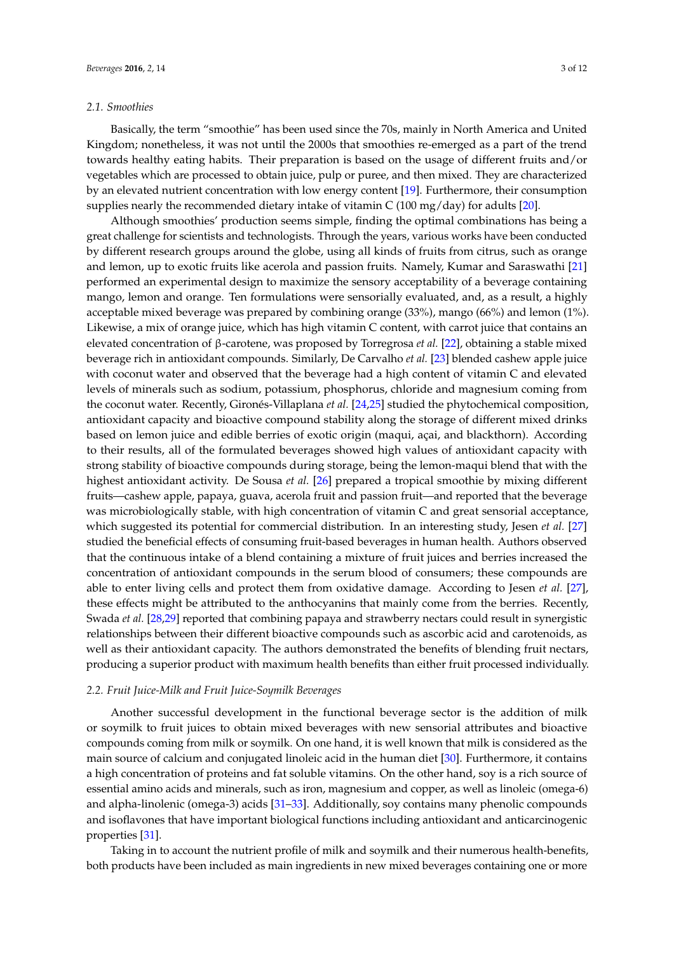#### *2.1. Smoothies*

Basically, the term "smoothie" has been used since the 70s, mainly in North America and United Kingdom; nonetheless, it was not until the 2000s that smoothies re-emerged as a part of the trend towards healthy eating habits. Their preparation is based on the usage of different fruits and/or vegetables which are processed to obtain juice, pulp or puree, and then mixed. They are characterized by an elevated nutrient concentration with low energy content [\[19\]](#page-8-11). Furthermore, their consumption supplies nearly the recommended dietary intake of vitamin C (100 mg/day) for adults [\[20\]](#page-8-12).

Although smoothies' production seems simple, finding the optimal combinations has being a great challenge for scientists and technologists. Through the years, various works have been conducted by different research groups around the globe, using all kinds of fruits from citrus, such as orange and lemon, up to exotic fruits like acerola and passion fruits. Namely, Kumar and Saraswathi [\[21\]](#page-8-13) performed an experimental design to maximize the sensory acceptability of a beverage containing mango, lemon and orange. Ten formulations were sensorially evaluated, and, as a result, a highly acceptable mixed beverage was prepared by combining orange (33%), mango (66%) and lemon (1%). Likewise, a mix of orange juice, which has high vitamin C content, with carrot juice that contains an elevated concentration of β-carotene, was proposed by Torregrosa *et al.* [\[22\]](#page-8-14), obtaining a stable mixed beverage rich in antioxidant compounds. Similarly, De Carvalho *et al.* [\[23\]](#page-8-15) blended cashew apple juice with coconut water and observed that the beverage had a high content of vitamin C and elevated levels of minerals such as sodium, potassium, phosphorus, chloride and magnesium coming from the coconut water. Recently, Gironés-Villaplana *et al.* [\[24](#page-8-16)[,25\]](#page-8-17) studied the phytochemical composition, antioxidant capacity and bioactive compound stability along the storage of different mixed drinks based on lemon juice and edible berries of exotic origin (maqui, açai, and blackthorn). According to their results, all of the formulated beverages showed high values of antioxidant capacity with strong stability of bioactive compounds during storage, being the lemon-maqui blend that with the highest antioxidant activity. De Sousa *et al.* [\[26\]](#page-8-18) prepared a tropical smoothie by mixing different fruits—cashew apple, papaya, guava, acerola fruit and passion fruit—and reported that the beverage was microbiologically stable, with high concentration of vitamin C and great sensorial acceptance, which suggested its potential for commercial distribution. In an interesting study, Jesen *et al.* [\[27\]](#page-8-19) studied the beneficial effects of consuming fruit-based beverages in human health. Authors observed that the continuous intake of a blend containing a mixture of fruit juices and berries increased the concentration of antioxidant compounds in the serum blood of consumers; these compounds are able to enter living cells and protect them from oxidative damage. According to Jesen *et al.* [\[27\]](#page-8-19), these effects might be attributed to the anthocyanins that mainly come from the berries. Recently, Swada *et al.* [\[28,](#page-8-20)[29\]](#page-8-21) reported that combining papaya and strawberry nectars could result in synergistic relationships between their different bioactive compounds such as ascorbic acid and carotenoids, as well as their antioxidant capacity. The authors demonstrated the benefits of blending fruit nectars, producing a superior product with maximum health benefits than either fruit processed individually.

#### *2.2. Fruit Juice-Milk and Fruit Juice-Soymilk Beverages*

Another successful development in the functional beverage sector is the addition of milk or soymilk to fruit juices to obtain mixed beverages with new sensorial attributes and bioactive compounds coming from milk or soymilk. On one hand, it is well known that milk is considered as the main source of calcium and conjugated linoleic acid in the human diet [\[30\]](#page-9-0). Furthermore, it contains a high concentration of proteins and fat soluble vitamins. On the other hand, soy is a rich source of essential amino acids and minerals, such as iron, magnesium and copper, as well as linoleic (omega-6) and alpha-linolenic (omega-3) acids [\[31–](#page-9-1)[33\]](#page-9-2). Additionally, soy contains many phenolic compounds and isoflavones that have important biological functions including antioxidant and anticarcinogenic properties [\[31\]](#page-9-1).

Taking in to account the nutrient profile of milk and soymilk and their numerous health-benefits, both products have been included as main ingredients in new mixed beverages containing one or more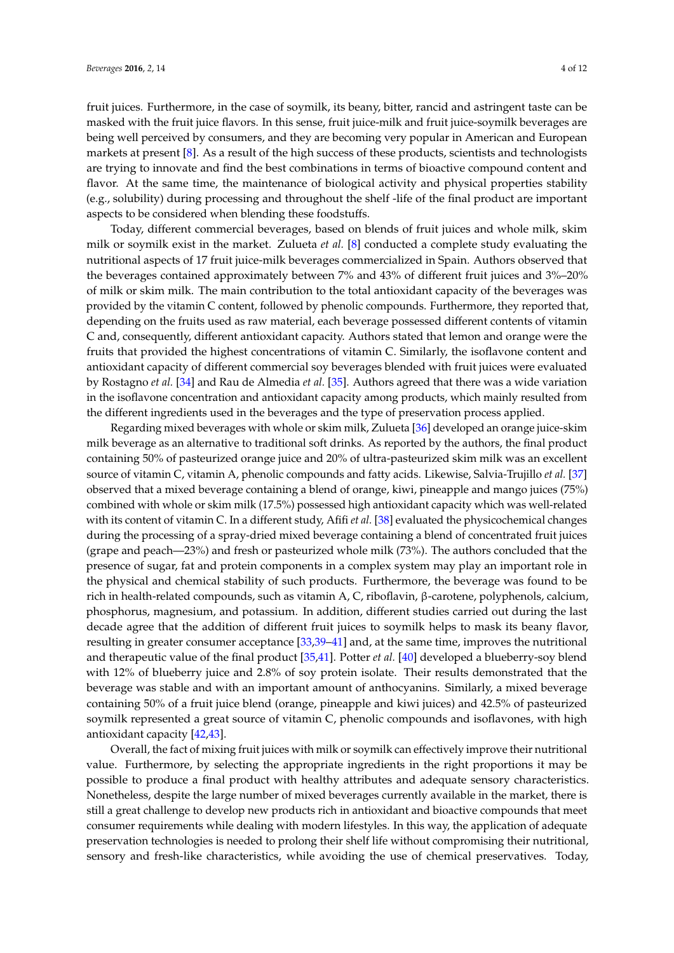fruit juices. Furthermore, in the case of soymilk, its beany, bitter, rancid and astringent taste can be masked with the fruit juice flavors. In this sense, fruit juice-milk and fruit juice-soymilk beverages are being well perceived by consumers, and they are becoming very popular in American and European markets at present [\[8\]](#page-8-0). As a result of the high success of these products, scientists and technologists are trying to innovate and find the best combinations in terms of bioactive compound content and flavor. At the same time, the maintenance of biological activity and physical properties stability (e.g., solubility) during processing and throughout the shelf -life of the final product are important aspects to be considered when blending these foodstuffs.

Today, different commercial beverages, based on blends of fruit juices and whole milk, skim milk or soymilk exist in the market. Zulueta *et al.* [\[8\]](#page-8-0) conducted a complete study evaluating the nutritional aspects of 17 fruit juice-milk beverages commercialized in Spain. Authors observed that the beverages contained approximately between 7% and 43% of different fruit juices and 3%–20% of milk or skim milk. The main contribution to the total antioxidant capacity of the beverages was provided by the vitamin C content, followed by phenolic compounds. Furthermore, they reported that, depending on the fruits used as raw material, each beverage possessed different contents of vitamin C and, consequently, different antioxidant capacity. Authors stated that lemon and orange were the fruits that provided the highest concentrations of vitamin C. Similarly, the isoflavone content and antioxidant capacity of different commercial soy beverages blended with fruit juices were evaluated by Rostagno *et al.* [\[34\]](#page-9-3) and Rau de Almedia *et al.* [\[35\]](#page-9-4). Authors agreed that there was a wide variation in the isoflavone concentration and antioxidant capacity among products, which mainly resulted from the different ingredients used in the beverages and the type of preservation process applied.

Regarding mixed beverages with whole or skim milk, Zulueta [\[36\]](#page-9-5) developed an orange juice-skim milk beverage as an alternative to traditional soft drinks. As reported by the authors, the final product containing 50% of pasteurized orange juice and 20% of ultra-pasteurized skim milk was an excellent source of vitamin C, vitamin A, phenolic compounds and fatty acids. Likewise, Salvia-Trujillo *et al.* [\[37\]](#page-9-6) observed that a mixed beverage containing a blend of orange, kiwi, pineapple and mango juices (75%) combined with whole or skim milk (17.5%) possessed high antioxidant capacity which was well-related with its content of vitamin C. In a different study, Afifi *et al.* [\[38\]](#page-9-7) evaluated the physicochemical changes during the processing of a spray-dried mixed beverage containing a blend of concentrated fruit juices (grape and peach—23%) and fresh or pasteurized whole milk (73%). The authors concluded that the presence of sugar, fat and protein components in a complex system may play an important role in the physical and chemical stability of such products. Furthermore, the beverage was found to be rich in health-related compounds, such as vitamin A, C, riboflavin, β-carotene, polyphenols, calcium, phosphorus, magnesium, and potassium. In addition, different studies carried out during the last decade agree that the addition of different fruit juices to soymilk helps to mask its beany flavor, resulting in greater consumer acceptance [\[33,](#page-9-2)[39](#page-9-8)[–41\]](#page-9-9) and, at the same time, improves the nutritional and therapeutic value of the final product [\[35,](#page-9-4)[41\]](#page-9-9). Potter *et al.* [\[40\]](#page-9-10) developed a blueberry-soy blend with 12% of blueberry juice and 2.8% of soy protein isolate. Their results demonstrated that the beverage was stable and with an important amount of anthocyanins. Similarly, a mixed beverage containing 50% of a fruit juice blend (orange, pineapple and kiwi juices) and 42.5% of pasteurized soymilk represented a great source of vitamin C, phenolic compounds and isoflavones, with high antioxidant capacity [\[42](#page-9-11)[,43\]](#page-9-12).

Overall, the fact of mixing fruit juices with milk or soymilk can effectively improve their nutritional value. Furthermore, by selecting the appropriate ingredients in the right proportions it may be possible to produce a final product with healthy attributes and adequate sensory characteristics. Nonetheless, despite the large number of mixed beverages currently available in the market, there is still a great challenge to develop new products rich in antioxidant and bioactive compounds that meet consumer requirements while dealing with modern lifestyles. In this way, the application of adequate preservation technologies is needed to prolong their shelf life without compromising their nutritional, sensory and fresh-like characteristics, while avoiding the use of chemical preservatives. Today,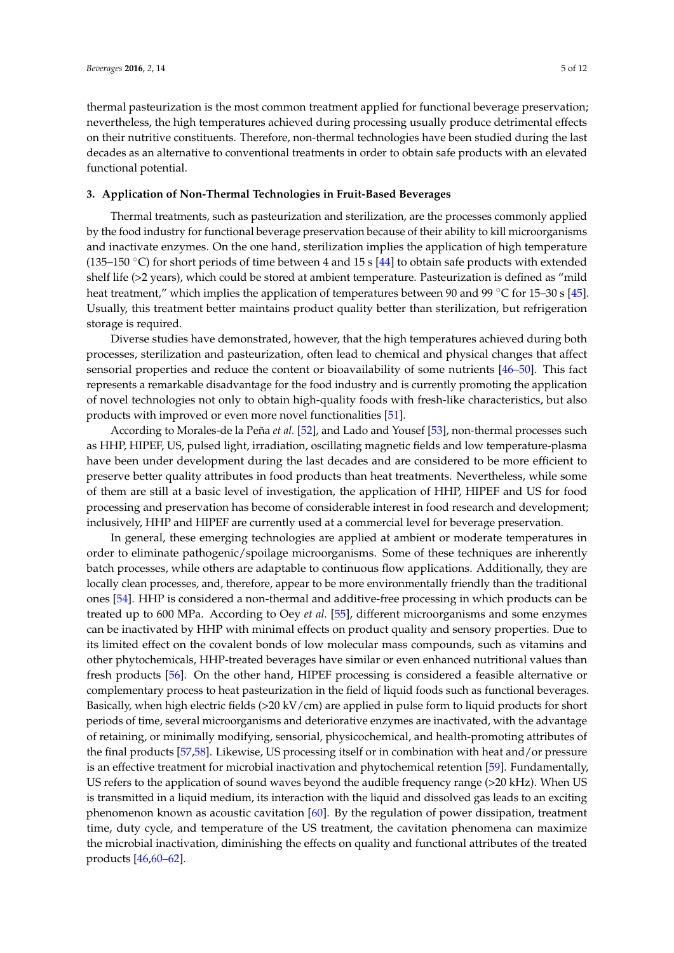thermal pasteurization is the most common treatment applied for functional beverage preservation; nevertheless, the high temperatures achieved during processing usually produce detrimental effects on their nutritive constituents. Therefore, non-thermal technologies have been studied during the last decades as an alternative to conventional treatments in order to obtain safe products with an elevated functional potential.

## **3. Application of Non-Thermal Technologies in Fruit-Based Beverages**

Thermal treatments, such as pasteurization and sterilization, are the processes commonly applied by the food industry for functional beverage preservation because of their ability to kill microorganisms and inactivate enzymes. On the one hand, sterilization implies the application of high temperature (135–150 °C) for short periods of time between 4 and 15 s [\[44\]](#page-9-13) to obtain safe products with extended shelf life (>2 years), which could be stored at ambient temperature. Pasteurization is defined as "mild heat treatment," which implies the application of temperatures between 90 and 99  $\degree$ C for 15–30 s [\[45\]](#page-9-14). Usually, this treatment better maintains product quality better than sterilization, but refrigeration storage is required.

Diverse studies have demonstrated, however, that the high temperatures achieved during both processes, sterilization and pasteurization, often lead to chemical and physical changes that affect sensorial properties and reduce the content or bioavailability of some nutrients [\[46–](#page-9-15)[50\]](#page-9-16). This fact represents a remarkable disadvantage for the food industry and is currently promoting the application of novel technologies not only to obtain high-quality foods with fresh-like characteristics, but also products with improved or even more novel functionalities [\[51\]](#page-10-0).

According to Morales-de la Peña *et al.* [\[52\]](#page-10-1), and Lado and Yousef [\[53\]](#page-10-2), non-thermal processes such as HHP, HIPEF, US, pulsed light, irradiation, oscillating magnetic fields and low temperature-plasma have been under development during the last decades and are considered to be more efficient to preserve better quality attributes in food products than heat treatments. Nevertheless, while some of them are still at a basic level of investigation, the application of HHP, HIPEF and US for food processing and preservation has become of considerable interest in food research and development; inclusively, HHP and HIPEF are currently used at a commercial level for beverage preservation.

In general, these emerging technologies are applied at ambient or moderate temperatures in order to eliminate pathogenic/spoilage microorganisms. Some of these techniques are inherently batch processes, while others are adaptable to continuous flow applications. Additionally, they are locally clean processes, and, therefore, appear to be more environmentally friendly than the traditional ones [\[54\]](#page-10-3). HHP is considered a non-thermal and additive-free processing in which products can be treated up to 600 MPa. According to Oey *et al.* [\[55\]](#page-10-4), different microorganisms and some enzymes can be inactivated by HHP with minimal effects on product quality and sensory properties. Due to its limited effect on the covalent bonds of low molecular mass compounds, such as vitamins and other phytochemicals, HHP-treated beverages have similar or even enhanced nutritional values than fresh products [\[56\]](#page-10-5). On the other hand, HIPEF processing is considered a feasible alternative or complementary process to heat pasteurization in the field of liquid foods such as functional beverages. Basically, when high electric fields (>20 kV/cm) are applied in pulse form to liquid products for short periods of time, several microorganisms and deteriorative enzymes are inactivated, with the advantage of retaining, or minimally modifying, sensorial, physicochemical, and health-promoting attributes of the final products [\[57](#page-10-6)[,58\]](#page-10-7). Likewise, US processing itself or in combination with heat and/or pressure is an effective treatment for microbial inactivation and phytochemical retention [\[59\]](#page-10-8). Fundamentally, US refers to the application of sound waves beyond the audible frequency range (>20 kHz). When US is transmitted in a liquid medium, its interaction with the liquid and dissolved gas leads to an exciting phenomenon known as acoustic cavitation [\[60\]](#page-10-9). By the regulation of power dissipation, treatment time, duty cycle, and temperature of the US treatment, the cavitation phenomena can maximize the microbial inactivation, diminishing the effects on quality and functional attributes of the treated products [\[46,](#page-9-15)[60–](#page-10-9)[62\]](#page-10-10).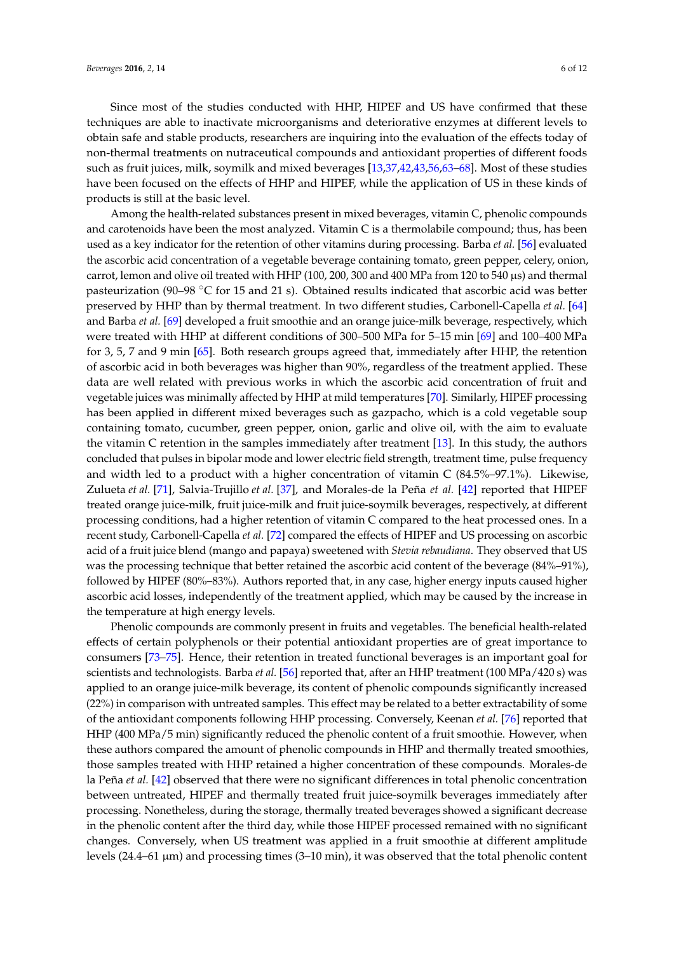Since most of the studies conducted with HHP, HIPEF and US have confirmed that these techniques are able to inactivate microorganisms and deteriorative enzymes at different levels to obtain safe and stable products, researchers are inquiring into the evaluation of the effects today of non-thermal treatments on nutraceutical compounds and antioxidant properties of different foods such as fruit juices, milk, soymilk and mixed beverages [\[13](#page-8-5)[,37,](#page-9-6)[42,](#page-9-11)[43,](#page-9-12)[56,](#page-10-5)[63–](#page-10-11)[68\]](#page-10-12). Most of these studies have been focused on the effects of HHP and HIPEF, while the application of US in these kinds of products is still at the basic level.

Among the health-related substances present in mixed beverages, vitamin C, phenolic compounds and carotenoids have been the most analyzed. Vitamin C is a thermolabile compound; thus, has been used as a key indicator for the retention of other vitamins during processing. Barba *et al.* [\[56\]](#page-10-5) evaluated the ascorbic acid concentration of a vegetable beverage containing tomato, green pepper, celery, onion, carrot, lemon and olive oil treated with HHP (100, 200, 300 and 400 MPa from 120 to 540 µs) and thermal pasteurization (90–98  $\degree$ C for 15 and 21 s). Obtained results indicated that ascorbic acid was better preserved by HHP than by thermal treatment. In two different studies, Carbonell-Capella *et al.* [\[64\]](#page-10-13) and Barba *et al.* [\[69\]](#page-10-14) developed a fruit smoothie and an orange juice-milk beverage, respectively, which were treated with HHP at different conditions of 300–500 MPa for 5–15 min [\[69\]](#page-10-14) and 100–400 MPa for 3, 5, 7 and 9 min [\[65\]](#page-10-15). Both research groups agreed that, immediately after HHP, the retention of ascorbic acid in both beverages was higher than 90%, regardless of the treatment applied. These data are well related with previous works in which the ascorbic acid concentration of fruit and vegetable juices was minimally affected by HHP at mild temperatures [\[70\]](#page-10-16). Similarly, HIPEF processing has been applied in different mixed beverages such as gazpacho, which is a cold vegetable soup containing tomato, cucumber, green pepper, onion, garlic and olive oil, with the aim to evaluate the vitamin C retention in the samples immediately after treatment [\[13\]](#page-8-5). In this study, the authors concluded that pulses in bipolar mode and lower electric field strength, treatment time, pulse frequency and width led to a product with a higher concentration of vitamin C (84.5%–97.1%). Likewise, Zulueta *et al.* [\[71\]](#page-11-0), Salvia-Trujillo *et al.* [\[37\]](#page-9-6), and Morales-de la Peña *et al.* [\[42\]](#page-9-11) reported that HIPEF treated orange juice-milk, fruit juice-milk and fruit juice-soymilk beverages, respectively, at different processing conditions, had a higher retention of vitamin C compared to the heat processed ones. In a recent study, Carbonell-Capella *et al.* [\[72\]](#page-11-1) compared the effects of HIPEF and US processing on ascorbic acid of a fruit juice blend (mango and papaya) sweetened with *Stevia rebaudiana*. They observed that US was the processing technique that better retained the ascorbic acid content of the beverage (84%–91%), followed by HIPEF (80%–83%). Authors reported that, in any case, higher energy inputs caused higher ascorbic acid losses, independently of the treatment applied, which may be caused by the increase in the temperature at high energy levels.

Phenolic compounds are commonly present in fruits and vegetables. The beneficial health-related effects of certain polyphenols or their potential antioxidant properties are of great importance to consumers [\[73](#page-11-2)[–75\]](#page-11-3). Hence, their retention in treated functional beverages is an important goal for scientists and technologists. Barba *et al.* [\[56\]](#page-10-5) reported that, after an HHP treatment (100 MPa/420 s) was applied to an orange juice-milk beverage, its content of phenolic compounds significantly increased (22%) in comparison with untreated samples. This effect may be related to a better extractability of some of the antioxidant components following HHP processing. Conversely, Keenan *et al.* [\[76\]](#page-11-4) reported that HHP (400 MPa/5 min) significantly reduced the phenolic content of a fruit smoothie. However, when these authors compared the amount of phenolic compounds in HHP and thermally treated smoothies, those samples treated with HHP retained a higher concentration of these compounds. Morales-de la Peña *et al.* [\[42\]](#page-9-11) observed that there were no significant differences in total phenolic concentration between untreated, HIPEF and thermally treated fruit juice-soymilk beverages immediately after processing. Nonetheless, during the storage, thermally treated beverages showed a significant decrease in the phenolic content after the third day, while those HIPEF processed remained with no significant changes. Conversely, when US treatment was applied in a fruit smoothie at different amplitude levels (24.4–61 µm) and processing times (3–10 min), it was observed that the total phenolic content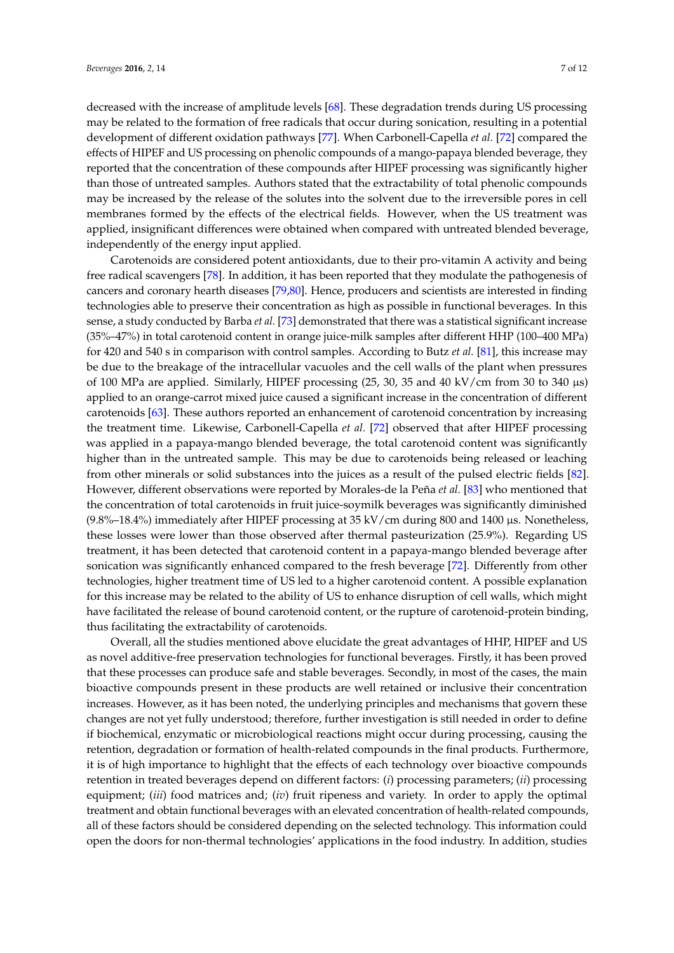decreased with the increase of amplitude levels [\[68\]](#page-10-12). These degradation trends during US processing may be related to the formation of free radicals that occur during sonication, resulting in a potential development of different oxidation pathways [\[77\]](#page-11-5). When Carbonell-Capella *et al.* [\[72\]](#page-11-1) compared the effects of HIPEF and US processing on phenolic compounds of a mango-papaya blended beverage, they reported that the concentration of these compounds after HIPEF processing was significantly higher than those of untreated samples. Authors stated that the extractability of total phenolic compounds may be increased by the release of the solutes into the solvent due to the irreversible pores in cell membranes formed by the effects of the electrical fields. However, when the US treatment was applied, insignificant differences were obtained when compared with untreated blended beverage, independently of the energy input applied.

Carotenoids are considered potent antioxidants, due to their pro-vitamin A activity and being free radical scavengers [\[78\]](#page-11-6). In addition, it has been reported that they modulate the pathogenesis of cancers and coronary hearth diseases [\[79](#page-11-7)[,80\]](#page-11-8). Hence, producers and scientists are interested in finding technologies able to preserve their concentration as high as possible in functional beverages. In this sense, a study conducted by Barba *et al.* [\[73\]](#page-11-2) demonstrated that there was a statistical significant increase (35%–47%) in total carotenoid content in orange juice-milk samples after different HHP (100–400 MPa) for 420 and 540 s in comparison with control samples. According to Butz *et al.* [\[81\]](#page-11-9), this increase may be due to the breakage of the intracellular vacuoles and the cell walls of the plant when pressures of 100 MPa are applied. Similarly, HIPEF processing (25, 30, 35 and 40 kV/cm from 30 to 340 µs) applied to an orange-carrot mixed juice caused a significant increase in the concentration of different carotenoids [\[63\]](#page-10-11). These authors reported an enhancement of carotenoid concentration by increasing the treatment time. Likewise, Carbonell-Capella *et al.* [\[72\]](#page-11-1) observed that after HIPEF processing was applied in a papaya-mango blended beverage, the total carotenoid content was significantly higher than in the untreated sample. This may be due to carotenoids being released or leaching from other minerals or solid substances into the juices as a result of the pulsed electric fields [\[82\]](#page-11-10). However, different observations were reported by Morales-de la Peña *et al.* [\[83\]](#page-11-11) who mentioned that the concentration of total carotenoids in fruit juice-soymilk beverages was significantly diminished  $(9.8\% - 18.4\%)$  immediately after HIPEF processing at 35 kV/cm during 800 and 1400  $\mu$ s. Nonetheless, these losses were lower than those observed after thermal pasteurization (25.9%). Regarding US treatment, it has been detected that carotenoid content in a papaya-mango blended beverage after sonication was significantly enhanced compared to the fresh beverage [\[72\]](#page-11-1). Differently from other technologies, higher treatment time of US led to a higher carotenoid content. A possible explanation for this increase may be related to the ability of US to enhance disruption of cell walls, which might have facilitated the release of bound carotenoid content, or the rupture of carotenoid-protein binding, thus facilitating the extractability of carotenoids.

Overall, all the studies mentioned above elucidate the great advantages of HHP, HIPEF and US as novel additive-free preservation technologies for functional beverages. Firstly, it has been proved that these processes can produce safe and stable beverages. Secondly, in most of the cases, the main bioactive compounds present in these products are well retained or inclusive their concentration increases. However, as it has been noted, the underlying principles and mechanisms that govern these changes are not yet fully understood; therefore, further investigation is still needed in order to define if biochemical, enzymatic or microbiological reactions might occur during processing, causing the retention, degradation or formation of health-related compounds in the final products. Furthermore, it is of high importance to highlight that the effects of each technology over bioactive compounds retention in treated beverages depend on different factors: (*i*) processing parameters; (*ii*) processing equipment; (*iii*) food matrices and; (*iv*) fruit ripeness and variety. In order to apply the optimal treatment and obtain functional beverages with an elevated concentration of health-related compounds, all of these factors should be considered depending on the selected technology. This information could open the doors for non-thermal technologies' applications in the food industry. In addition, studies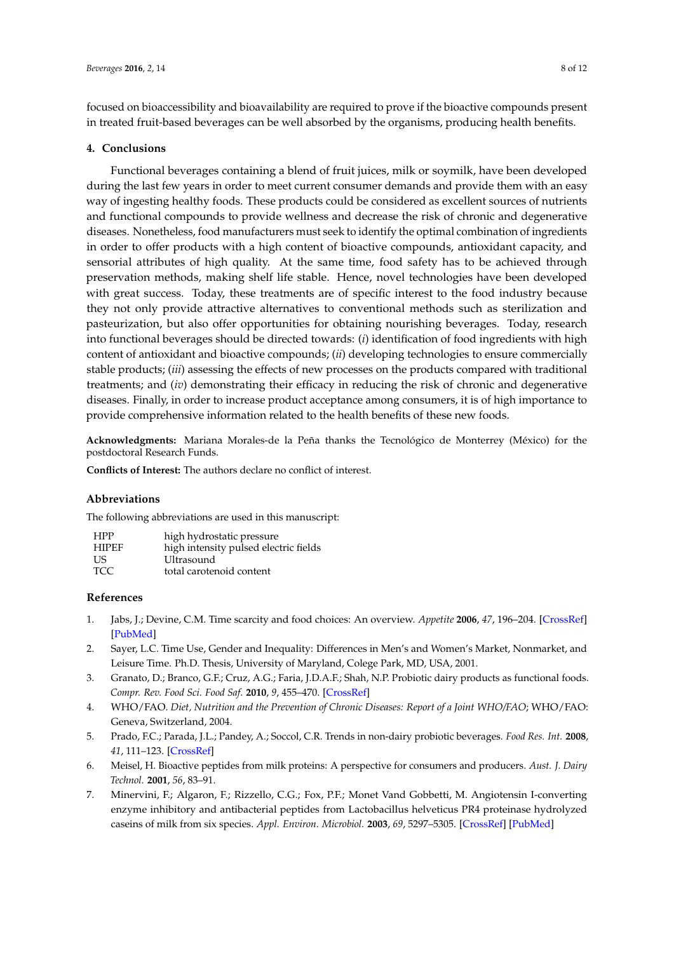focused on bioaccessibility and bioavailability are required to prove if the bioactive compounds present in treated fruit-based beverages can be well absorbed by the organisms, producing health benefits.

#### **4. Conclusions**

Functional beverages containing a blend of fruit juices, milk or soymilk, have been developed during the last few years in order to meet current consumer demands and provide them with an easy way of ingesting healthy foods. These products could be considered as excellent sources of nutrients and functional compounds to provide wellness and decrease the risk of chronic and degenerative diseases. Nonetheless, food manufacturers must seek to identify the optimal combination of ingredients in order to offer products with a high content of bioactive compounds, antioxidant capacity, and sensorial attributes of high quality. At the same time, food safety has to be achieved through preservation methods, making shelf life stable. Hence, novel technologies have been developed with great success. Today, these treatments are of specific interest to the food industry because they not only provide attractive alternatives to conventional methods such as sterilization and pasteurization, but also offer opportunities for obtaining nourishing beverages. Today, research into functional beverages should be directed towards: (*i*) identification of food ingredients with high content of antioxidant and bioactive compounds; (*ii*) developing technologies to ensure commercially stable products; (*iii*) assessing the effects of new processes on the products compared with traditional treatments; and (*iv*) demonstrating their efficacy in reducing the risk of chronic and degenerative diseases. Finally, in order to increase product acceptance among consumers, it is of high importance to provide comprehensive information related to the health benefits of these new foods.

**Acknowledgments:** Mariana Morales-de la Peña thanks the Tecnológico de Monterrey (México) for the postdoctoral Research Funds.

**Conflicts of Interest:** The authors declare no conflict of interest.

## **Abbreviations**

The following abbreviations are used in this manuscript:

| <b>HPP</b>   | high hydrostatic pressure             |
|--------------|---------------------------------------|
| <b>HIPEF</b> | high intensity pulsed electric fields |
| US.          | Ultrasound                            |
| TCC.         | total carotenoid content              |

## **References**

- <span id="page-7-0"></span>1. Jabs, J.; Devine, C.M. Time scarcity and food choices: An overview. *Appetite* **2006**, *47*, 196–204. [\[CrossRef\]](http://dx.doi.org/10.1016/j.appet.2006.02.014) [\[PubMed\]](http://www.ncbi.nlm.nih.gov/pubmed/16698116)
- <span id="page-7-1"></span>2. Sayer, L.C. Time Use, Gender and Inequality: Differences in Men's and Women's Market, Nonmarket, and Leisure Time. Ph.D. Thesis, University of Maryland, Colege Park, MD, USA, 2001.
- <span id="page-7-2"></span>3. Granato, D.; Branco, G.F.; Cruz, A.G.; Faria, J.D.A.F.; Shah, N.P. Probiotic dairy products as functional foods. *Compr. Rev. Food Sci. Food Saf.* **2010**, *9*, 455–470. [\[CrossRef\]](http://dx.doi.org/10.1111/j.1541-4337.2010.00120.x)
- <span id="page-7-3"></span>4. WHO/FAO. *Diet, Nutrition and the Prevention of Chronic Diseases: Report of a Joint WHO/FAO*; WHO/FAO: Geneva, Switzerland, 2004.
- <span id="page-7-4"></span>5. Prado, F.C.; Parada, J.L.; Pandey, A.; Soccol, C.R. Trends in non-dairy probiotic beverages. *Food Res. Int.* **2008**, *41*, 111–123. [\[CrossRef\]](http://dx.doi.org/10.1016/j.foodres.2007.10.010)
- 6. Meisel, H. Bioactive peptides from milk proteins: A perspective for consumers and producers. *Aust. J. Dairy Technol.* **2001**, *56*, 83–91.
- <span id="page-7-5"></span>7. Minervini, F.; Algaron, F.; Rizzello, C.G.; Fox, P.F.; Monet Vand Gobbetti, M. Angiotensin I-converting enzyme inhibitory and antibacterial peptides from Lactobacillus helveticus PR4 proteinase hydrolyzed caseins of milk from six species. *Appl. Environ. Microbiol.* **2003**, *69*, 5297–5305. [\[CrossRef\]](http://dx.doi.org/10.1128/AEM.69.9.5297-5305.2003) [\[PubMed\]](http://www.ncbi.nlm.nih.gov/pubmed/12957917)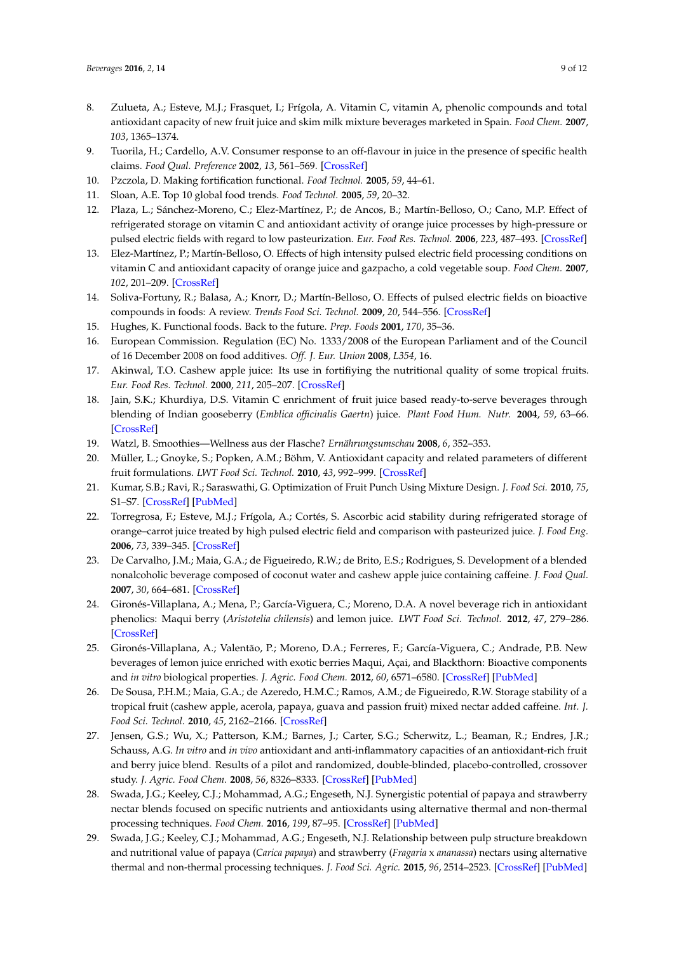- <span id="page-8-0"></span>8. Zulueta, A.; Esteve, M.J.; Frasquet, I.; Frígola, A. Vitamin C, vitamin A, phenolic compounds and total antioxidant capacity of new fruit juice and skim milk mixture beverages marketed in Spain. *Food Chem.* **2007**, *103*, 1365–1374.
- <span id="page-8-1"></span>9. Tuorila, H.; Cardello, A.V. Consumer response to an off-flavour in juice in the presence of specific health claims. *Food Qual. Preference* **2002**, *13*, 561–569. [\[CrossRef\]](http://dx.doi.org/10.1016/S0950-3293(01)00076-3)
- <span id="page-8-2"></span>10. Pzczola, D. Making fortification functional. *Food Technol.* **2005**, *59*, 44–61.
- <span id="page-8-3"></span>11. Sloan, A.E. Top 10 global food trends. *Food Technol.* **2005**, *59*, 20–32.
- <span id="page-8-4"></span>12. Plaza, L.; Sánchez-Moreno, C.; Elez-Martínez, P.; de Ancos, B.; Martín-Belloso, O.; Cano, M.P. Effect of refrigerated storage on vitamin C and antioxidant activity of orange juice processes by high-pressure or pulsed electric fields with regard to low pasteurization. *Eur. Food Res. Technol.* **2006**, *223*, 487–493. [\[CrossRef\]](http://dx.doi.org/10.1007/s00217-005-0228-2)
- <span id="page-8-5"></span>13. Elez-Martínez, P.; Martín-Belloso, O. Effects of high intensity pulsed electric field processing conditions on vitamin C and antioxidant capacity of orange juice and gazpacho, a cold vegetable soup. *Food Chem.* **2007**, *102*, 201–209. [\[CrossRef\]](http://dx.doi.org/10.1016/j.foodchem.2006.04.048)
- <span id="page-8-6"></span>14. Soliva-Fortuny, R.; Balasa, A.; Knorr, D.; Martín-Belloso, O. Effects of pulsed electric fields on bioactive compounds in foods: A review. *Trends Food Sci. Technol.* **2009**, *20*, 544–556. [\[CrossRef\]](http://dx.doi.org/10.1016/j.tifs.2009.07.003)
- <span id="page-8-7"></span>15. Hughes, K. Functional foods. Back to the future. *Prep. Foods* **2001**, *170*, 35–36.
- <span id="page-8-8"></span>16. European Commission. Regulation (EC) No. 1333/2008 of the European Parliament and of the Council of 16 December 2008 on food additives. *Off. J. Eur. Union* **2008**, *L354*, 16.
- <span id="page-8-9"></span>17. Akinwal, T.O. Cashew apple juice: Its use in fortifiying the nutritional quality of some tropical fruits. *Eur. Food Res. Technol.* **2000**, *211*, 205–207. [\[CrossRef\]](http://dx.doi.org/10.1007/s002170050024)
- <span id="page-8-10"></span>18. Jain, S.K.; Khurdiya, D.S. Vitamin C enrichment of fruit juice based ready-to-serve beverages through blending of Indian gooseberry (*Emblica officinalis Gaertn*) juice. *Plant Food Hum. Nutr.* **2004**, *59*, 63–66. [\[CrossRef\]](http://dx.doi.org/10.1007/s11130-004-0019-0)
- <span id="page-8-11"></span>19. Watzl, B. Smoothies—Wellness aus der Flasche? *Ernährungsumschau* **2008**, *6*, 352–353.
- <span id="page-8-12"></span>20. Müller, L.; Gnoyke, S.; Popken, A.M.; Böhm, V. Antioxidant capacity and related parameters of different fruit formulations. *LWT Food Sci. Technol.* **2010**, *43*, 992–999. [\[CrossRef\]](http://dx.doi.org/10.1016/j.lwt.2010.02.004)
- <span id="page-8-13"></span>21. Kumar, S.B.; Ravi, R.; Saraswathi, G. Optimization of Fruit Punch Using Mixture Design. *J. Food Sci.* **2010**, *75*, S1–S7. [\[CrossRef\]](http://dx.doi.org/10.1111/j.1750-3841.2009.01379.x) [\[PubMed\]](http://www.ncbi.nlm.nih.gov/pubmed/20492197)
- <span id="page-8-14"></span>22. Torregrosa, F.; Esteve, M.J.; Frígola, A.; Cortés, S. Ascorbic acid stability during refrigerated storage of orange–carrot juice treated by high pulsed electric field and comparison with pasteurized juice. *J. Food Eng.* **2006**, *73*, 339–345. [\[CrossRef\]](http://dx.doi.org/10.1016/j.jfoodeng.2005.01.034)
- <span id="page-8-15"></span>23. De Carvalho, J.M.; Maia, G.A.; de Figueiredo, R.W.; de Brito, E.S.; Rodrigues, S. Development of a blended nonalcoholic beverage composed of coconut water and cashew apple juice containing caffeine. *J. Food Qual.* **2007**, *30*, 664–681. [\[CrossRef\]](http://dx.doi.org/10.1111/j.1745-4557.2007.00149.x)
- <span id="page-8-16"></span>24. Gironés-Villaplana, A.; Mena, P.; García-Viguera, C.; Moreno, D.A. A novel beverage rich in antioxidant phenolics: Maqui berry (*Aristotelia chilensis*) and lemon juice. *LWT Food Sci. Technol.* **2012**, *47*, 279–286. [\[CrossRef\]](http://dx.doi.org/10.1016/j.lwt.2012.01.020)
- <span id="page-8-17"></span>25. Gironés-Villaplana, A.; Valentão, P.; Moreno, D.A.; Ferreres, F.; García-Viguera, C.; Andrade, P.B. New beverages of lemon juice enriched with exotic berries Maqui, Açai, and Blackthorn: Bioactive components and *in vitro* biological properties. *J. Agric. Food Chem.* **2012**, *60*, 6571–6580. [\[CrossRef\]](http://dx.doi.org/10.1021/jf300873k) [\[PubMed\]](http://www.ncbi.nlm.nih.gov/pubmed/22642537)
- <span id="page-8-18"></span>26. De Sousa, P.H.M.; Maia, G.A.; de Azeredo, H.M.C.; Ramos, A.M.; de Figueiredo, R.W. Storage stability of a tropical fruit (cashew apple, acerola, papaya, guava and passion fruit) mixed nectar added caffeine. *Int. J. Food Sci. Technol.* **2010**, *45*, 2162–2166. [\[CrossRef\]](http://dx.doi.org/10.1111/j.1365-2621.2010.02383.x)
- <span id="page-8-19"></span>27. Jensen, G.S.; Wu, X.; Patterson, K.M.; Barnes, J.; Carter, S.G.; Scherwitz, L.; Beaman, R.; Endres, J.R.; Schauss, A.G. *In vitro* and *in vivo* antioxidant and anti-inflammatory capacities of an antioxidant-rich fruit and berry juice blend. Results of a pilot and randomized, double-blinded, placebo-controlled, crossover study. *J. Agric. Food Chem.* **2008**, *56*, 8326–8333. [\[CrossRef\]](http://dx.doi.org/10.1021/jf8016157) [\[PubMed\]](http://www.ncbi.nlm.nih.gov/pubmed/18717569)
- <span id="page-8-20"></span>28. Swada, J.G.; Keeley, C.J.; Mohammad, A.G.; Engeseth, N.J. Synergistic potential of papaya and strawberry nectar blends focused on specific nutrients and antioxidants using alternative thermal and non-thermal processing techniques. *Food Chem.* **2016**, *199*, 87–95. [\[CrossRef\]](http://dx.doi.org/10.1016/j.foodchem.2015.11.087) [\[PubMed\]](http://www.ncbi.nlm.nih.gov/pubmed/26775948)
- <span id="page-8-21"></span>29. Swada, J.G.; Keeley, C.J.; Mohammad, A.G.; Engeseth, N.J. Relationship between pulp structure breakdown and nutritional value of papaya (*Carica papaya*) and strawberry (*Fragaria* x *ananassa*) nectars using alternative thermal and non-thermal processing techniques. *J. Food Sci. Agric.* **2015**, *96*, 2514–2523. [\[CrossRef\]](http://dx.doi.org/10.1002/jsfa.7372) [\[PubMed\]](http://www.ncbi.nlm.nih.gov/pubmed/26250848)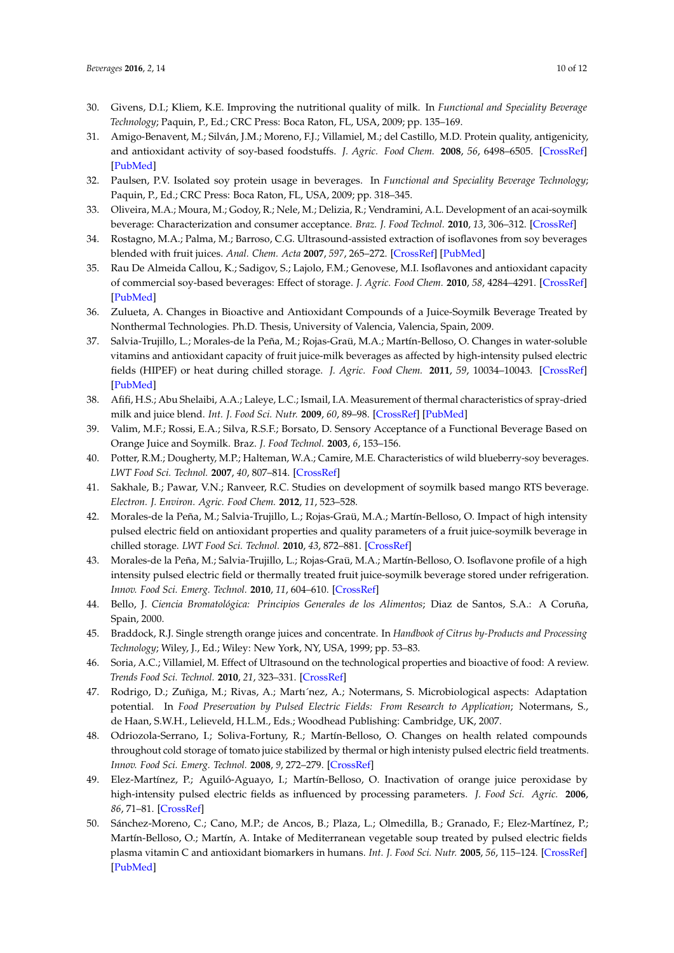- <span id="page-9-0"></span>30. Givens, D.I.; Kliem, K.E. Improving the nutritional quality of milk. In *Functional and Speciality Beverage Technology*; Paquin, P., Ed.; CRC Press: Boca Raton, FL, USA, 2009; pp. 135–169.
- <span id="page-9-1"></span>31. Amigo-Benavent, M.; Silván, J.M.; Moreno, F.J.; Villamiel, M.; del Castillo, M.D. Protein quality, antigenicity, and antioxidant activity of soy-based foodstuffs. *J. Agric. Food Chem.* **2008**, *56*, 6498–6505. [\[CrossRef\]](http://dx.doi.org/10.1021/jf800697n) [\[PubMed\]](http://www.ncbi.nlm.nih.gov/pubmed/18620400)
- 32. Paulsen, P.V. Isolated soy protein usage in beverages. In *Functional and Speciality Beverage Technology*; Paquin, P., Ed.; CRC Press: Boca Raton, FL, USA, 2009; pp. 318–345.
- <span id="page-9-2"></span>33. Oliveira, M.A.; Moura, M.; Godoy, R.; Nele, M.; Delizia, R.; Vendramini, A.L. Development of an acai-soymilk beverage: Characterization and consumer acceptance. *Braz. J. Food Technol.* **2010**, *13*, 306–312. [\[CrossRef\]](http://dx.doi.org/10.4260/BJFT2010130400041)
- <span id="page-9-3"></span>34. Rostagno, M.A.; Palma, M.; Barroso, C.G. Ultrasound-assisted extraction of isoflavones from soy beverages blended with fruit juices. *Anal. Chem. Acta* **2007**, *597*, 265–272. [\[CrossRef\]](http://dx.doi.org/10.1016/j.aca.2007.07.006) [\[PubMed\]](http://www.ncbi.nlm.nih.gov/pubmed/17683738)
- <span id="page-9-4"></span>35. Rau De Almeida Callou, K.; Sadigov, S.; Lajolo, F.M.; Genovese, M.I. Isoflavones and antioxidant capacity of commercial soy-based beverages: Effect of storage. *J. Agric. Food Chem.* **2010**, *58*, 4284–4291. [\[CrossRef\]](http://dx.doi.org/10.1021/jf904130z) [\[PubMed\]](http://www.ncbi.nlm.nih.gov/pubmed/20199084)
- <span id="page-9-5"></span>36. Zulueta, A. Changes in Bioactive and Antioxidant Compounds of a Juice-Soymilk Beverage Treated by Nonthermal Technologies. Ph.D. Thesis, University of Valencia, Valencia, Spain, 2009.
- <span id="page-9-6"></span>37. Salvia-Trujillo, L.; Morales-de la Peña, M.; Rojas-Graü, M.A.; Martín-Belloso, O. Changes in water-soluble vitamins and antioxidant capacity of fruit juice-milk beverages as affected by high-intensity pulsed electric fields (HIPEF) or heat during chilled storage. *J. Agric. Food Chem.* **2011**, *59*, 10034–10043. [\[CrossRef\]](http://dx.doi.org/10.1021/jf2011497) [\[PubMed\]](http://www.ncbi.nlm.nih.gov/pubmed/21846104)
- <span id="page-9-7"></span>38. Afifi, H.S.; Abu Shelaibi, A.A.; Laleye, L.C.; Ismail, I.A. Measurement of thermal characteristics of spray-dried milk and juice blend. *Int. J. Food Sci. Nutr.* **2009**, *60*, 89–98. [\[CrossRef\]](http://dx.doi.org/10.1080/09637480802595526) [\[PubMed\]](http://www.ncbi.nlm.nih.gov/pubmed/19468952)
- <span id="page-9-8"></span>39. Valim, M.F.; Rossi, E.A.; Silva, R.S.F.; Borsato, D. Sensory Acceptance of a Functional Beverage Based on Orange Juice and Soymilk. Braz. *J. Food Technol.* **2003**, *6*, 153–156.
- <span id="page-9-10"></span>40. Potter, R.M.; Dougherty, M.P.; Halteman, W.A.; Camire, M.E. Characteristics of wild blueberry-soy beverages. *LWT Food Sci. Technol.* **2007**, *40*, 807–814. [\[CrossRef\]](http://dx.doi.org/10.1016/j.lwt.2006.04.006)
- <span id="page-9-9"></span>41. Sakhale, B.; Pawar, V.N.; Ranveer, R.C. Studies on development of soymilk based mango RTS beverage. *Electron. J. Environ. Agric. Food Chem.* **2012**, *11*, 523–528.
- <span id="page-9-11"></span>42. Morales-de la Peña, M.; Salvia-Trujillo, L.; Rojas-Graü, M.A.; Martín-Belloso, O. Impact of high intensity pulsed electric field on antioxidant properties and quality parameters of a fruit juice-soymilk beverage in chilled storage. *LWT Food Sci. Technol.* **2010**, *43*, 872–881. [\[CrossRef\]](http://dx.doi.org/10.1016/j.lwt.2010.01.015)
- <span id="page-9-12"></span>43. Morales-de la Peña, M.; Salvia-Trujillo, L.; Rojas-Graü, M.A.; Martín-Belloso, O. Isoflavone profile of a high intensity pulsed electric field or thermally treated fruit juice-soymilk beverage stored under refrigeration. *Innov. Food Sci. Emerg. Technol.* **2010**, *11*, 604–610. [\[CrossRef\]](http://dx.doi.org/10.1016/j.ifset.2010.08.005)
- <span id="page-9-13"></span>44. Bello, J. *Ciencia Bromatológica: Principios Generales de los Alimentos*; Diaz de Santos, S.A.: A Coruña, Spain, 2000.
- <span id="page-9-14"></span>45. Braddock, R.J. Single strength orange juices and concentrate. In *Handbook of Citrus by-Products and Processing Technology*; Wiley, J., Ed.; Wiley: New York, NY, USA, 1999; pp. 53–83.
- <span id="page-9-15"></span>46. Soria, A.C.; Villamiel, M. Effect of Ultrasound on the technological properties and bioactive of food: A review. *Trends Food Sci. Technol.* **2010**, *21*, 323–331. [\[CrossRef\]](http://dx.doi.org/10.1016/j.tifs.2010.04.003)
- 47. Rodrigo, D.; Zuñiga, M.; Rivas, A.; Martı´nez, A.; Notermans, S. Microbiological aspects: Adaptation potential. In *Food Preservation by Pulsed Electric Fields: From Research to Application*; Notermans, S., de Haan, S.W.H., Lelieveld, H.L.M., Eds.; Woodhead Publishing: Cambridge, UK, 2007.
- 48. Odriozola-Serrano, I.; Soliva-Fortuny, R.; Martín-Belloso, O. Changes on health related compounds throughout cold storage of tomato juice stabilized by thermal or high intenisty pulsed electric field treatments. *Innov. Food Sci. Emerg. Technol.* **2008**, *9*, 272–279. [\[CrossRef\]](http://dx.doi.org/10.1016/j.ifset.2007.07.009)
- 49. Elez-Martínez, P.; Aguiló-Aguayo, I.; Martín-Belloso, O. Inactivation of orange juice peroxidase by high-intensity pulsed electric fields as influenced by processing parameters. *J. Food Sci. Agric.* **2006**, *86*, 71–81. [\[CrossRef\]](http://dx.doi.org/10.1002/jsfa.2306)
- <span id="page-9-16"></span>50. Sánchez-Moreno, C.; Cano, M.P.; de Ancos, B.; Plaza, L.; Olmedilla, B.; Granado, F.; Elez-Martínez, P.; Martín-Belloso, O.; Martín, A. Intake of Mediterranean vegetable soup treated by pulsed electric fields plasma vitamin C and antioxidant biomarkers in humans. *Int. J. Food Sci. Nutr.* **2005**, *56*, 115–124. [\[CrossRef\]](http://dx.doi.org/10.1080/09637480500081811) [\[PubMed\]](http://www.ncbi.nlm.nih.gov/pubmed/16019321)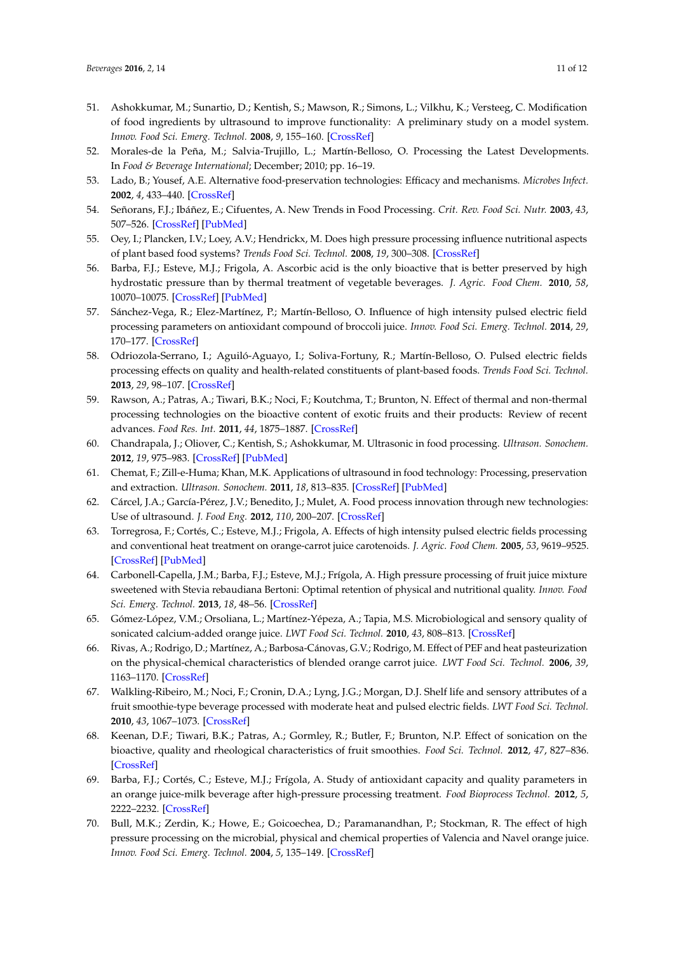- <span id="page-10-0"></span>51. Ashokkumar, M.; Sunartio, D.; Kentish, S.; Mawson, R.; Simons, L.; Vilkhu, K.; Versteeg, C. Modification of food ingredients by ultrasound to improve functionality: A preliminary study on a model system. *Innov. Food Sci. Emerg. Technol.* **2008**, *9*, 155–160. [\[CrossRef\]](http://dx.doi.org/10.1016/j.ifset.2007.05.005)
- <span id="page-10-1"></span>52. Morales-de la Peña, M.; Salvia-Trujillo, L.; Martín-Belloso, O. Processing the Latest Developments. In *Food & Beverage International*; December; 2010; pp. 16–19.
- <span id="page-10-2"></span>53. Lado, B.; Yousef, A.E. Alternative food-preservation technologies: Efficacy and mechanisms. *Microbes Infect.* **2002**, *4*, 433–440. [\[CrossRef\]](http://dx.doi.org/10.1016/S1286-4579(02)01557-5)
- <span id="page-10-3"></span>54. Señorans, F.J.; Ibáñez, E.; Cifuentes, A. New Trends in Food Processing. *Crit. Rev. Food Sci. Nutr.* **2003**, *43*, 507–526. [\[CrossRef\]](http://dx.doi.org/10.1080/10408690390246341) [\[PubMed\]](http://www.ncbi.nlm.nih.gov/pubmed/14653493)
- <span id="page-10-4"></span>55. Oey, I.; Plancken, I.V.; Loey, A.V.; Hendrickx, M. Does high pressure processing influence nutritional aspects of plant based food systems? *Trends Food Sci. Technol.* **2008**, *19*, 300–308. [\[CrossRef\]](http://dx.doi.org/10.1016/j.tifs.2007.09.002)
- <span id="page-10-5"></span>56. Barba, F.J.; Esteve, M.J.; Frigola, A. Ascorbic acid is the only bioactive that is better preserved by high hydrostatic pressure than by thermal treatment of vegetable beverages. *J. Agric. Food Chem.* **2010**, *58*, 10070–10075. [\[CrossRef\]](http://dx.doi.org/10.1021/jf1019483) [\[PubMed\]](http://www.ncbi.nlm.nih.gov/pubmed/20735131)
- <span id="page-10-6"></span>57. Sánchez-Vega, R.; Elez-Martínez, P.; Martín-Belloso, O. Influence of high intensity pulsed electric field processing parameters on antioxidant compound of broccoli juice. *Innov. Food Sci. Emerg. Technol.* **2014**, *29*, 170–177. [\[CrossRef\]](http://dx.doi.org/10.1016/j.ifset.2014.12.002)
- <span id="page-10-7"></span>58. Odriozola-Serrano, I.; Aguiló-Aguayo, I.; Soliva-Fortuny, R.; Martín-Belloso, O. Pulsed electric fields processing effects on quality and health-related constituents of plant-based foods. *Trends Food Sci. Technol.* **2013**, *29*, 98–107. [\[CrossRef\]](http://dx.doi.org/10.1016/j.tifs.2011.10.003)
- <span id="page-10-8"></span>59. Rawson, A.; Patras, A.; Tiwari, B.K.; Noci, F.; Koutchma, T.; Brunton, N. Effect of thermal and non-thermal processing technologies on the bioactive content of exotic fruits and their products: Review of recent advances. *Food Res. Int.* **2011**, *44*, 1875–1887. [\[CrossRef\]](http://dx.doi.org/10.1016/j.foodres.2011.02.053)
- <span id="page-10-9"></span>60. Chandrapala, J.; Oliover, C.; Kentish, S.; Ashokkumar, M. Ultrasonic in food processing. *Ultrason. Sonochem.* **2012**, *19*, 975–983. [\[CrossRef\]](http://dx.doi.org/10.1016/j.ultsonch.2012.01.010) [\[PubMed\]](http://www.ncbi.nlm.nih.gov/pubmed/22349129)
- 61. Chemat, F.; Zill-e-Huma; Khan, M.K. Applications of ultrasound in food technology: Processing, preservation and extraction. *Ultrason. Sonochem.* **2011**, *18*, 813–835. [\[CrossRef\]](http://dx.doi.org/10.1016/j.ultsonch.2010.11.023) [\[PubMed\]](http://www.ncbi.nlm.nih.gov/pubmed/21216174)
- <span id="page-10-10"></span>62. Cárcel, J.A.; García-Pérez, J.V.; Benedito, J.; Mulet, A. Food process innovation through new technologies: Use of ultrasound. *J. Food Eng.* **2012**, *110*, 200–207. [\[CrossRef\]](http://dx.doi.org/10.1016/j.jfoodeng.2011.05.038)
- <span id="page-10-11"></span>63. Torregrosa, F.; Cortés, C.; Esteve, M.J.; Frigola, A. Effects of high intensity pulsed electric fields processing and conventional heat treatment on orange-carrot juice carotenoids. *J. Agric. Food Chem.* **2005**, *53*, 9619–9525. [\[CrossRef\]](http://dx.doi.org/10.1021/jf051171w) [\[PubMed\]](http://www.ncbi.nlm.nih.gov/pubmed/16302771)
- <span id="page-10-13"></span>64. Carbonell-Capella, J.M.; Barba, F.J.; Esteve, M.J.; Frígola, A. High pressure processing of fruit juice mixture sweetened with Stevia rebaudiana Bertoni: Optimal retention of physical and nutritional quality. *Innov. Food Sci. Emerg. Technol.* **2013**, *18*, 48–56. [\[CrossRef\]](http://dx.doi.org/10.1016/j.ifset.2013.01.011)
- <span id="page-10-15"></span>65. Gómez-López, V.M.; Orsoliana, L.; Martínez-Yépeza, A.; Tapia, M.S. Microbiological and sensory quality of sonicated calcium-added orange juice. *LWT Food Sci. Technol.* **2010**, *43*, 808–813. [\[CrossRef\]](http://dx.doi.org/10.1016/j.lwt.2010.01.008)
- 66. Rivas, A.; Rodrigo, D.; Martínez, A.; Barbosa-Cánovas, G.V.; Rodrigo, M. Effect of PEF and heat pasteurization on the physical-chemical characteristics of blended orange carrot juice. *LWT Food Sci. Technol.* **2006**, *39*, 1163–1170. [\[CrossRef\]](http://dx.doi.org/10.1016/j.lwt.2005.07.002)
- 67. Walkling-Ribeiro, M.; Noci, F.; Cronin, D.A.; Lyng, J.G.; Morgan, D.J. Shelf life and sensory attributes of a fruit smoothie-type beverage processed with moderate heat and pulsed electric fields. *LWT Food Sci. Technol.* **2010**, *43*, 1067–1073. [\[CrossRef\]](http://dx.doi.org/10.1016/j.lwt.2010.02.010)
- <span id="page-10-12"></span>68. Keenan, D.F.; Tiwari, B.K.; Patras, A.; Gormley, R.; Butler, F.; Brunton, N.P. Effect of sonication on the bioactive, quality and rheological characteristics of fruit smoothies. *Food Sci. Technol.* **2012**, *47*, 827–836. [\[CrossRef\]](http://dx.doi.org/10.1111/j.1365-2621.2011.02915.x)
- <span id="page-10-14"></span>69. Barba, F.J.; Cortés, C.; Esteve, M.J.; Frígola, A. Study of antioxidant capacity and quality parameters in an orange juice-milk beverage after high-pressure processing treatment. *Food Bioprocess Technol.* **2012**, *5*, 2222–2232. [\[CrossRef\]](http://dx.doi.org/10.1007/s11947-011-0570-2)
- <span id="page-10-16"></span>70. Bull, M.K.; Zerdin, K.; Howe, E.; Goicoechea, D.; Paramanandhan, P.; Stockman, R. The effect of high pressure processing on the microbial, physical and chemical properties of Valencia and Navel orange juice. *Innov. Food Sci. Emerg. Technol.* **2004**, *5*, 135–149. [\[CrossRef\]](http://dx.doi.org/10.1016/j.ifset.2003.11.005)